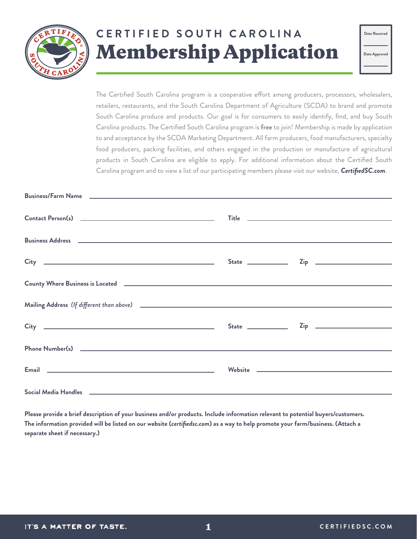

# **CERTIFIED SOUTH CAROLINA** Membership Application

**Date Received Date Approved**

The Certified South Carolina program is a cooperative effort among producers, processors, wholesalers, retailers, restaurants, and the South Carolina Department of Agriculture (SCDA) to brand and promote South Carolina produce and products. Our goal is for consumers to easily identify, find, and buy South Carolina products. The Certified South Carolina program is **free** to join! Membership is made by application to and acceptance by the SCDA Marketing Department. All farm producers, food manufacturers, specialty food producers, packing facilities, and others engaged in the production or manufacture of agricultural products in South Carolina are eligible to apply. For additional information about the Certified South Carolina program and to view a list of our participating members please visit our website, *[CertifiedSC.com](https://certifiedsc.com)*.

| <b>Business Address</b> 2014 <b>Contract Contract Contract Contract Contract Contract Contract Contract Contract Contract Contract Contract Contract Contract Contract Contract Contract Contract Contract Contract Contract Contract</b> |  |  |  |
|-------------------------------------------------------------------------------------------------------------------------------------------------------------------------------------------------------------------------------------------|--|--|--|
|                                                                                                                                                                                                                                           |  |  |  |
|                                                                                                                                                                                                                                           |  |  |  |
|                                                                                                                                                                                                                                           |  |  |  |
|                                                                                                                                                                                                                                           |  |  |  |
|                                                                                                                                                                                                                                           |  |  |  |
|                                                                                                                                                                                                                                           |  |  |  |
|                                                                                                                                                                                                                                           |  |  |  |

**Please provide a brief description of your business and/or products. Include information relevant to potential buyers/customers. The information provided will be listed on our website (***[certifiedsc.com](https://certifiedsc.com)***) as a way to help promote your farm/business. (Attach a separate sheet if necessary.)**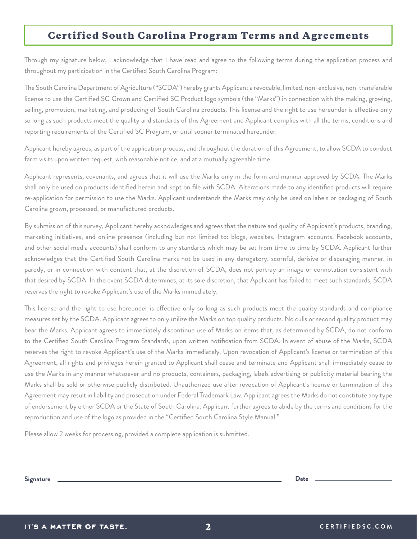# Certified South Carolina Program Terms and Agreements

Through my signature below, I acknowledge that I have read and agree to the following terms during the application process and throughout my participation in the Certified South Carolina Program:

The South Carolina Department of Agriculture ("SCDA") hereby grants Applicant a revocable, limited, non-exclusive, non-transferable license to use the Certified SC Grown and Certified SC Product logo symbols (the "Marks") in connection with the making, growing, selling, promotion, marketing, and producing of South Carolina products. This license and the right to use hereunder is effective only so long as such products meet the quality and standards of this Agreement and Applicant complies with all the terms, conditions and reporting requirements of the Certified SC Program, or until sooner terminated hereunder.

Applicant hereby agrees, as part of the application process, and throughout the duration of this Agreement, to allow SCDA to conduct farm visits upon written request, with reasonable notice, and at a mutually agreeable time.

Applicant represents, covenants, and agrees that it will use the Marks only in the form and manner approved by SCDA. The Marks shall only be used on products identified herein and kept on file with SCDA. Alterations made to any identified products will require re-application for permission to use the Marks. Applicant understands the Marks may only be used on labels or packaging of South Carolina grown, processed, or manufactured products.

By submission of this survey, Applicant hereby acknowledges and agrees that the nature and quality of Applicant's products, branding, marketing initiatives, and online presence (including but not limited to: blogs, websites, Instagram accounts, Facebook accounts, and other social media accounts) shall conform to any standards which may be set from time to time by SCDA. Applicant further acknowledges that the Certified South Carolina marks not be used in any derogatory, scornful, derisive or disparaging manner, in parody, or in connection with content that, at the discretion of SCDA, does not portray an image or connotation consistent with that desired by SCDA. In the event SCDA determines, at its sole discretion, that Applicant has failed to meet such standards, SCDA reserves the right to revoke Applicant's use of the Marks immediately.

This license and the right to use hereunder is effective only so long as such products meet the quality standards and compliance measures set by the SCDA. Applicant agrees to only utilize the Marks on top quality products. No culls or second quality product may bear the Marks. Applicant agrees to immediately discontinue use of Marks on items that, as determined by SCDA, do not conform to the Certified South Carolina Program Standards, upon written notification from SCDA. In event of abuse of the Marks, SCDA reserves the right to revoke Applicant's use of the Marks immediately. Upon revocation of Applicant's license or termination of this Agreement, all rights and privileges herein granted to Applicant shall cease and terminate and Applicant shall immediately cease to use the Marks in any manner whatsoever and no products, containers, packaging, labels advertising or publicity material bearing the Marks shall be sold or otherwise publicly distributed. Unauthorized use after revocation of Applicant's license or termination of this Agreement may result in liability and prosecution under Federal Trademark Law. Applicant agrees the Marks do not constitute any type of endorsement by either SCDA or the State of South Carolina. Applicant further agrees to abide by the terms and conditions for the reproduction and use of the logo as provided in the "Certified South Carolina Style Manual."

Please allow 2 weeks for processing, provided a complete application is submitted.

**Signature Date**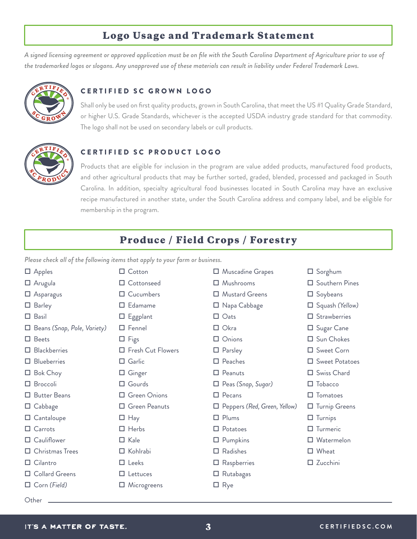# Logo Usage and Trademark Statement

*A signed licensing agreement or approved application must be on file with the South Carolina Department of Agriculture prior to use of the trademarked logos or slogans. Any unapproved use of these materials can result in liability under Federal Trademark Laws.*



### CERTIFIED SC GROWN LOGO

Shall only be used on first quality products, grown in South Carolina, that meet the US #1 Quality Grade Standard, or higher U.S. Grade Standards, whichever is the accepted USDA industry grade standard for that commodity. The logo shall not be used on secondary labels or cull products.



### CERTIFIED SC PRODUCT LOGO

Products that are eligible for inclusion in the program are value added products, manufactured food products, and other agricultural products that may be further sorted, graded, blended, processed and packaged in South Carolina. In addition, specialty agricultural food businesses located in South Carolina may have an exclusive recipe manufactured in another state, under the South Carolina address and company label, and be eligible for membership in the program.

# Produce / Field Crops / Forestry

*Please check all of the following items that apply to your farm or business.*

| $\Box$ Apples                 | $\Box$ Cotton       | □ Muscadine Grapes             | $\Box$ Sorghum         |
|-------------------------------|---------------------|--------------------------------|------------------------|
| $\Box$ Arugula                | □ Cottonseed        | □ Mushrooms                    | □ Southern Pines       |
| $\Box$ Asparagus              | $\Box$ Cucumbers    | □ Mustard Greens               | $\Box$ Soybeans        |
| $\Box$ Barley                 | $\Box$ Edamame      | □ Napa Cabbage                 | $\Box$ Squash (Yellow) |
| $\Box$ Basil                  | $\Box$ Eggplant     | $\Box$ Oats                    | $\square$ Strawberries |
| □ Beans (Snap, Pole, Variety) | $\Box$ Fennel       | $\Box$ Okra                    | $\Box$ Sugar Cane      |
| $\Box$ Beets                  | $\Box$ Figs         | $\Box$ Onions                  | □ Sun Chokes           |
| $\Box$ Blackberries           | □ Fresh Cut Flowers | $\Box$ Parsley                 | □ Sweet Corn           |
| $\Box$ Blueberries            | $\Box$ Garlic       | $\Box$ Peaches                 | □ Sweet Potatoes       |
| $\Box$ Bok Choy               | □ Ginger            | $\Box$ Peanuts                 | □ Swiss Chard          |
| $\Box$ Broccoli               | $\Box$ Gourds       | $\Box$ Peas (Snap, Sugar)      | $\Box$ Tobacco         |
| □ Butter Beans                | □ Green Onions      | $\Box$ Pecans                  | $\Box$ Tomatoes        |
| $\Box$ Cabbage                | □ Green Peanuts     | □ Peppers (Red, Green, Yellow) | □ Turnip Greens        |
| $\Box$ Cantaloupe             | $\Box$ Hay          | $\Box$ Plums                   | $\Box$ Turnips         |
| $\Box$ Carrots                | $\Box$ Herbs        | $\Box$ Potatoes                | $\Box$ Turmeric        |
| $\Box$ Cauliflower            | $\Box$ Kale         | □ Pumpkins                     | $\Box$ Watermelon      |
| $\Box$ Christmas Trees        | $\Box$ Kohlrabi     | $\Box$ Radishes                | $\Box$ Wheat           |
| $\Box$ Cilantro               | $\Box$ Leeks        | $\Box$ Raspberries             | $\Box$ Zucchini        |
| □ Collard Greens              | $\Box$ Lettuces     | $\Box$ Rutabagas               |                        |
| $\Box$ Corn (Field)           | $\Box$ Microgreens  | $\Box$ Rye                     |                        |
|                               |                     |                                |                        |

Other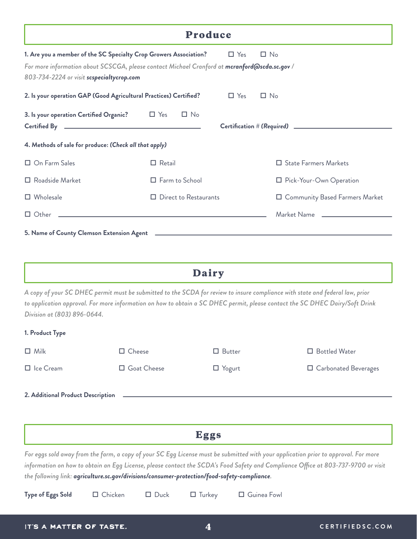| Produce                                                                                                                                    |                                               |            |                                        |
|--------------------------------------------------------------------------------------------------------------------------------------------|-----------------------------------------------|------------|----------------------------------------|
| 1. Are you a member of the SC Specialty Crop Growers Association?                                                                          |                                               | $\Box$ Yes | $\Box$ No                              |
| For more information about SCSCGA, please contact Michael Cranford at mcranford@scda.sc.gov /<br>803-734-2224 or visit scspecialtycrop.com |                                               |            |                                        |
| 2. Is your operation GAP (Good Agricultural Practices) Certified?                                                                          |                                               | $\Box$ Yes | $\Box$ No                              |
| 3. Is your operation Certified Organic?                                                                                                    | $\Box$ Yes<br>$\Box$ No                       |            |                                        |
| 4. Methods of sale for produce: (Check all that apply)                                                                                     |                                               |            |                                        |
| □ On Farm Sales                                                                                                                            | $\Box$ Retail                                 |            | □ State Farmers Markets                |
| $\Box$ Roadside Market                                                                                                                     | □ Farm to School                              |            | □ Pick-Your-Own Operation              |
| $\Box$ Wholesale                                                                                                                           | $\Box$ Direct to Restaurants                  |            | □ Community Based Farmers Market       |
| $\Box$ Other                                                                                                                               | <u> 1989 - Andrea Andrew Maria (h. 1989).</u> |            | Market Name <u>___________________</u> |
| 5. Name of County Clemson Extension Agent                                                                                                  |                                               |            |                                        |

Dairy

*A copy of your SC DHEC permit must be submitted to the SCDA for review to insure compliance with state and federal law, prior to application approval. For more information on how to obtain a SC DHEC permit, please contact the SC DHEC Dairy/Soft Drink Division at (803) 896-0644.*

### **1. Product Type**

| $\Box$ Milk      | $\Box$ Cheese | $\Box$ Butter | □ Bottled Water             |
|------------------|---------------|---------------|-----------------------------|
| $\Box$ Ice Cream | □ Goat Cheese | $\Box$ Yogurt | $\Box$ Carbonated Beverages |

**2. Additional Product Description**

Eggs

*For eggs sold away from the farm, a copy of your SC Egg License must be submitted with your application prior to approval. For more information on how to obtain an Egg License, please contact the SCDA's Food Safety and Compliance Office at 803-737-9700 or visit the following link: [agriculture.sc.gov/divisions/consumer-protection/food-safety-compliance](http://agriculture.sc.gov/divisions/consumer-protection/food-safety-compliance/).*

 Chicken Duck Turkey Guinea Fowl **Type of Eggs Sold**

IT'S A MATTER OF TASTE.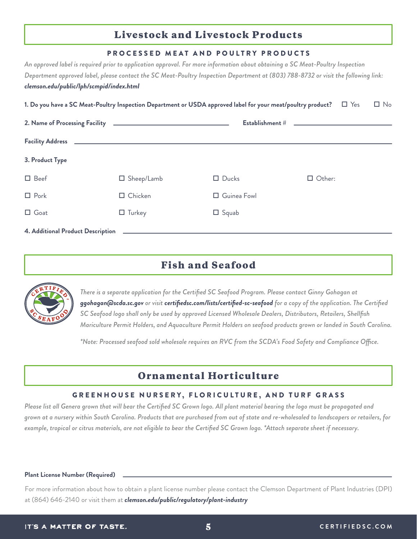# Livestock and Livestock Products

### PROCESSED MEAT AND POULTRY PRODUCTS

*An approved label is required prior to application approval. For more information about obtaining a SC Meat-Poultry Inspection Department approved label, please contact the SC Meat-Poultry Inspection Department at (803) 788-8732 or visit the following link: [clemson.edu/public/lph/scmpid/index.html](https://www.clemson.edu/public/lph/scmpid/index.html)*

| $\square$ No<br>1. Do you have a SC Meat-Poultry Inspection Department or USDA approved label for your meat/poultry product?<br>□ Yes |                                                                                                                      |                 |               |
|---------------------------------------------------------------------------------------------------------------------------------------|----------------------------------------------------------------------------------------------------------------------|-----------------|---------------|
|                                                                                                                                       |                                                                                                                      |                 |               |
| <b>Facility Address</b>                                                                                                               | <u> 1980 - Andrea Santa Andrea Santa Andrea Santa Andrea Santa Andrea Santa Andrea Santa Andrea Santa Andrea San</u> |                 |               |
| 3. Product Type                                                                                                                       |                                                                                                                      |                 |               |
| $\square$ Beef                                                                                                                        | $\Box$ Sheep/Lamb                                                                                                    | $\Box$ Ducks    | $\Box$ Other: |
| $\square$ Pork                                                                                                                        | $\Box$ Chicken                                                                                                       | □ Guinea Fowl   |               |
| $\Box$ Goat                                                                                                                           | $\Box$ Turkey                                                                                                        | $\square$ Squab |               |
| 4. Additional Product Description                                                                                                     |                                                                                                                      |                 |               |

# Fish and Seafood



*There is a separate application for the Certified SC Seafood Program. Please contact Ginny Gohagan at [ggohagan@scda.sc.gov](mailto:ggohagan@scda.sc.gov) or visit [certifiedsc.com/lists/certified-sc-seafood](https://certifiedsc.com/lists/certified-sc-seafood/) for a copy of the application. The Certified SC Seafood logo shall only be used by approved Licensed Wholesale Dealers, Distributors, Retailers, Shellfish Mariculture Permit Holders, and Aquaculture Permit Holders on seafood products grown or landed in South Carolina.*

*\*Note: Processed seafood sold wholesale requires an RVC from the SCDA's Food Safety and Compliance Office.*

## Ornamental Horticulture

### GREENHOUSE NURSERY, FLORICULTURE, AND TURF GRASS

*Please list all Genera grown that will bear the Certified SC Grown logo. All plant material bearing the logo must be propagated and grown at a nursery within South Carolina. Products that are purchased from out of state and re-wholesaled to landscapers or retailers, for example, tropical or citrus materials, are not eligible to bear the Certified SC Grown logo. \*Attach separate sheet if necessary.*

#### **Plant License Number (Required)**

For more information about how to obtain a plant license number please contact the Clemson Department of Plant Industries (DPI) at (864) 646-2140 or visit them at *[clemson.edu/public/regulatory/plant-industry](https://www.clemson.edu/public/regulatory/plant-industry/)*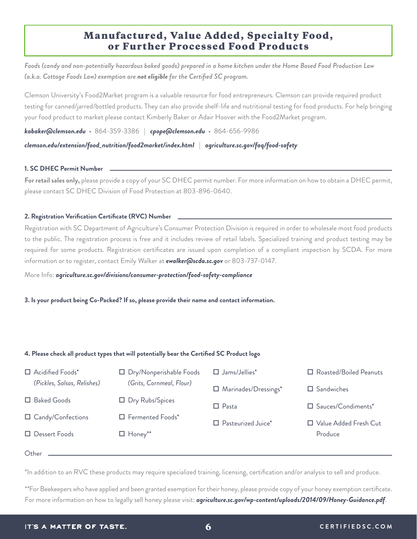# Manufactured, Value Added, Specialty Food, or Further Processed Food Products

*Foods (candy and non-potentially hazardous baked goods) prepared in a home kitchen under the Home Based Food Production Law (a.k.a. Cottage Foods Law) exemption are not eligible for the Certified SC program.*

Clemson University's Food2Market program is a valuable resource for food entrepreneurs. Clemson can provide required product testing for canned/jarred/bottled products. They can also provide shelf-life and nutritional testing for food products. For help bringing your food product to market please contact Kimberly Baker or Adair Hoover with the Food2Market program.

*[kabaker@clemson.edu](mailto:kabaker@clemson.edu)* • 864-359-3386 | *[cpope@clemson.edu](mailto:cpope@clemson.edu)* • 864-656-9986

*[clemson.edu/extension/food\\_nutrition/food2market/index.html](http://www.clemson.edu/extension/food_nutrition/food2market/index.html)* | *[agriculture.sc.gov/faq/food-safety](http://agriculture.sc.gov/faq/food-safety/)*

#### **1. SC DHEC Permit Number**

**For retail sales only,** please provide a copy of your SC DHEC permit number. For more information on how to obtain a DHEC permit, please contact SC DHEC Division of Food Protection at 803-896-0640.

#### **2. Registration Verification Certificate (RVC) Number**

Registration with SC Department of Agriculture's Consumer Protection Division is required in order to wholesale most food products to the public. The registration process is free and it includes review of retail labels. Specialized training and product testing may be required for some products. Registration certificates are issued upon completion of a compliant inspection by SCDA. For more information or to register, contact Emily Walker at *[ewalker@scda.sc.gov](mailto:ewalker%40scda.sc.gov?subject=)* or 803-737-0147.

More Info: *[agriculture.sc.gov/divisions/consumer-protection/food-safety-compliance](http://agriculture.sc.gov/divisions/consumer-protection/food-safety-compliance/)*

**3. Is your product being Co-Packed? If so, please provide their name and contact information.**

### **4. Please check all product types that will potentially bear the Certified SC Product logo**

| $\Box$ Acidified Foods*     | □ Dry/Nonperishable Foods | $\Box$ Jams/Jellies*      | □ Roasted/Boiled Peanuts |
|-----------------------------|---------------------------|---------------------------|--------------------------|
| (Pickles, Salsas, Relishes) | (Grits, Cornmeal, Flour)  | □ Marinades/Dressings*    | $\Box$ Sandwiches        |
| □ Baked Goods               | □ Dry Rubs/Spices         | $\Box$ Pasta              | □ Sauces/Condiments*     |
| □ Candy/Confections         | □ Fermented Foods*        | $\Box$ Pasteurized Juice* | □ Value Added Fresh Cut  |
| □ Dessert Foods             | $\Box$ Honey**            |                           | Produce                  |
|                             |                           |                           |                          |

#### **Other**

\*In addition to an RVC these products may require specialized training, licensing, certification and/or analysis to sell and produce.

\*\*For Beekeepers who have applied and been granted exemption for their honey, please provide copy of your honey exemption certificate. For more information on how to legally sell honey please visit: *[agriculture.sc.gov/wp-content/uploads/2014/09/Honey-Guidance.pdf](http://agriculture.sc.gov/wp-content/uploads/2014/09/Honey-Guidance.pdf)*.